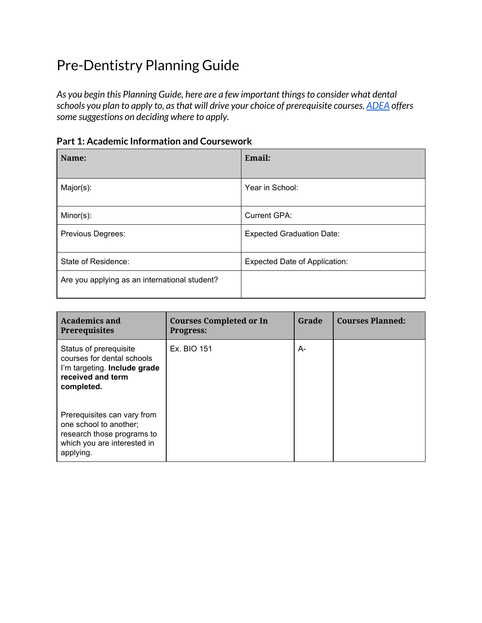# Pre-Dentistry Planning Guide

*As you begin this Planning Guide, here are a few important thingsto consider what dental schools you plan to apply to, asthat will drive your choice of prerequisite courses. ADEA offers some suggestions on deciding where to apply.*

| <b>Part 1: Academic Information and Coursework</b> |  |  |
|----------------------------------------------------|--|--|
|----------------------------------------------------|--|--|

| Name:                                         | Email:                               |
|-----------------------------------------------|--------------------------------------|
| Major(s):                                     | Year in School:                      |
| Minor(s):                                     | <b>Current GPA:</b>                  |
| Previous Degrees:                             | <b>Expected Graduation Date:</b>     |
| State of Residence:                           | <b>Expected Date of Application:</b> |
| Are you applying as an international student? |                                      |

| <b>Academics and</b><br><b>Prerequisites</b>                                                                                    | <b>Courses Completed or In</b><br><b>Progress:</b> | Grade | <b>Courses Planned:</b> |
|---------------------------------------------------------------------------------------------------------------------------------|----------------------------------------------------|-------|-------------------------|
| Status of prerequisite<br>courses for dental schools<br>I'm targeting. Include grade<br>received and term<br>completed.         | Ex. BIO 151                                        | A-    |                         |
| Prerequisites can vary from<br>one school to another;<br>research those programs to<br>which you are interested in<br>applying. |                                                    |       |                         |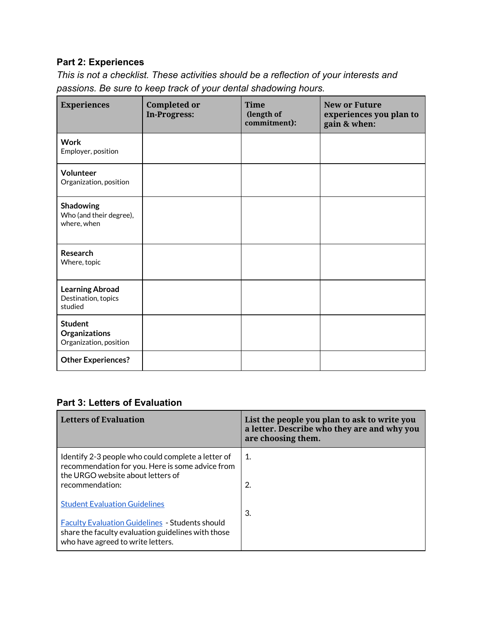## **Part 2: Experiences**

*This is not a checklist. These activities should be a reflection of your interests and passions. Be sure to keep track of your dental shadowing hours.*

| <b>Experiences</b>                                        | <b>Completed or</b><br>In-Progress: | <b>Time</b><br>(length of<br>commitment): | <b>New or Future</b><br>experiences you plan to<br>gain & when: |
|-----------------------------------------------------------|-------------------------------------|-------------------------------------------|-----------------------------------------------------------------|
| <b>Work</b><br>Employer, position                         |                                     |                                           |                                                                 |
| Volunteer<br>Organization, position                       |                                     |                                           |                                                                 |
| Shadowing<br>Who (and their degree),<br>where, when       |                                     |                                           |                                                                 |
| Research<br>Where, topic                                  |                                     |                                           |                                                                 |
| <b>Learning Abroad</b><br>Destination, topics<br>studied  |                                     |                                           |                                                                 |
| <b>Student</b><br>Organizations<br>Organization, position |                                     |                                           |                                                                 |
| <b>Other Experiences?</b>                                 |                                     |                                           |                                                                 |

#### **Part 3: Letters of Evaluation**

| <b>Letters of Evaluation</b>                                                                                                                      | List the people you plan to ask to write you<br>a letter. Describe who they are and why you<br>are choosing them. |
|---------------------------------------------------------------------------------------------------------------------------------------------------|-------------------------------------------------------------------------------------------------------------------|
| Identify 2-3 people who could complete a letter of<br>recommendation for you. Here is some advice from<br>the URGO website about letters of       | 1.                                                                                                                |
| recommendation:                                                                                                                                   | 2.                                                                                                                |
| <b>Student Evaluation Guidelines</b>                                                                                                              | 3.                                                                                                                |
| <b>Faculty Evaluation Guidelines - Students should</b><br>share the faculty evaluation guidelines with those<br>who have agreed to write letters. |                                                                                                                   |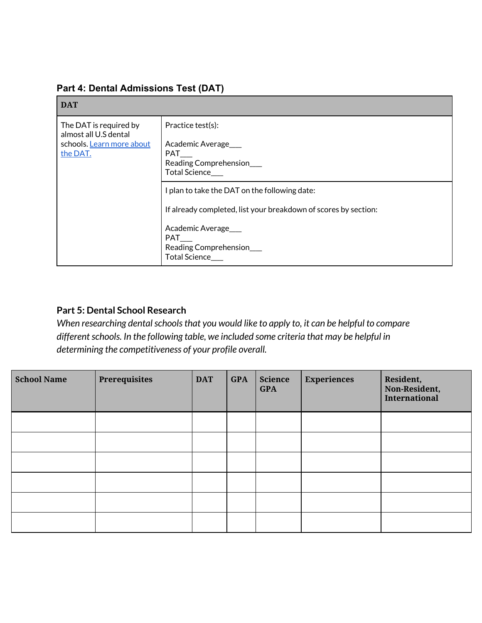#### **Part 4: Dental Admissions Test (DAT)**

| <b>DAT</b>                                                                               |                                                                                                                                                                                                     |
|------------------------------------------------------------------------------------------|-----------------------------------------------------------------------------------------------------------------------------------------------------------------------------------------------------|
| The DAT is required by<br>almost all U.S dental<br>schools. Learn more about<br>the DAT. | Practice test(s):<br>Academic Average<br><b>PAT</b><br>Reading Comprehension___<br>Total Science                                                                                                    |
|                                                                                          | I plan to take the DAT on the following date:<br>If already completed, list your breakdown of scores by section:<br>Academic Average<br><b>PAT</b><br>Reading Comprehension<br><b>Total Science</b> |

## **Part 5: Dental School Research**

*When researching dental schools that you would like to apply to, it can be helpful to compare differentschools. In the following table, we included some criteria that may be helpful in determining the competitiveness of your profile overall.*

| <b>School Name</b> | Prerequisites | <b>DAT</b> | <b>GPA</b> | <b>Science</b><br><b>GPA</b> | <b>Experiences</b> | Resident,<br>Non-Resident,<br><b>International</b> |
|--------------------|---------------|------------|------------|------------------------------|--------------------|----------------------------------------------------|
|                    |               |            |            |                              |                    |                                                    |
|                    |               |            |            |                              |                    |                                                    |
|                    |               |            |            |                              |                    |                                                    |
|                    |               |            |            |                              |                    |                                                    |
|                    |               |            |            |                              |                    |                                                    |
|                    |               |            |            |                              |                    |                                                    |